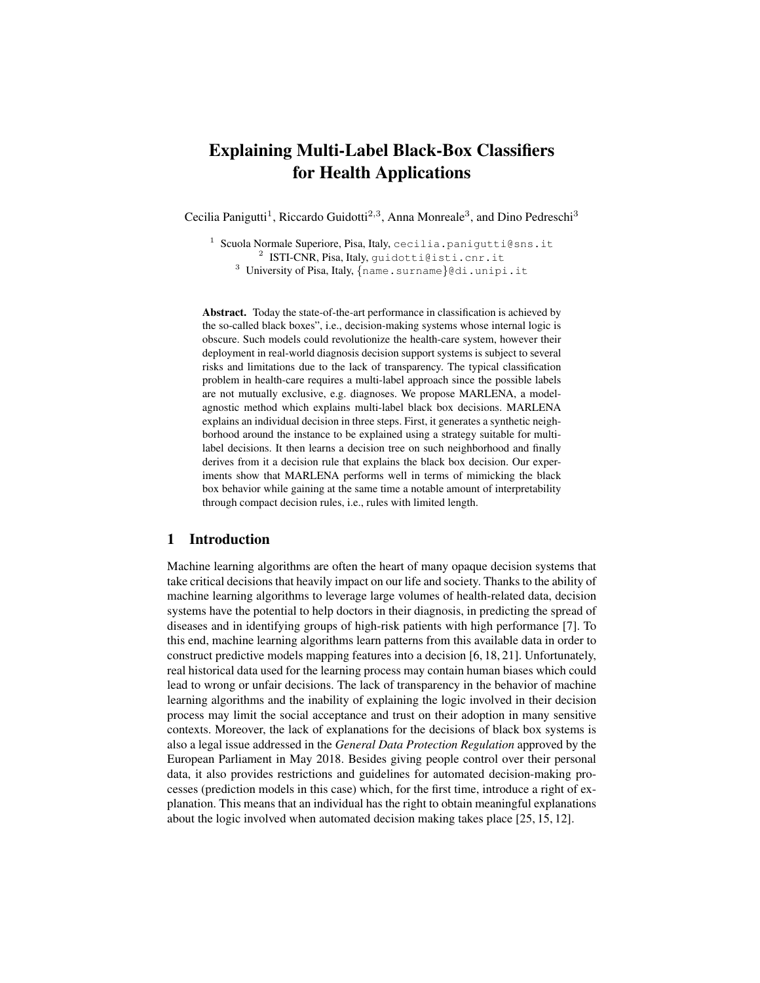# Explaining Multi-Label Black-Box Classifiers for Health Applications

Cecilia Panigutti<sup>1</sup>, Riccardo Guidotti<sup>2,3</sup>, Anna Monreale<sup>3</sup>, and Dino Pedreschi<sup>3</sup>

<sup>1</sup> Scuola Normale Superiore, Pisa, Italy, cecilia.panigutti@sns.it  $^2$  ISTI-CNR, Pisa, Italy, guidotti@isti.cnr.it <sup>3</sup> University of Pisa, Italy,  $\{\text{name.surname}\}$ @di.unipi.it

Abstract. Today the state-of-the-art performance in classification is achieved by the so-called black boxes", i.e., decision-making systems whose internal logic is obscure. Such models could revolutionize the health-care system, however their deployment in real-world diagnosis decision support systems is subject to several risks and limitations due to the lack of transparency. The typical classification problem in health-care requires a multi-label approach since the possible labels are not mutually exclusive, e.g. diagnoses. We propose MARLENA, a modelagnostic method which explains multi-label black box decisions. MARLENA explains an individual decision in three steps. First, it generates a synthetic neighborhood around the instance to be explained using a strategy suitable for multilabel decisions. It then learns a decision tree on such neighborhood and finally derives from it a decision rule that explains the black box decision. Our experiments show that MARLENA performs well in terms of mimicking the black box behavior while gaining at the same time a notable amount of interpretability through compact decision rules, i.e., rules with limited length.

## 1 Introduction

Machine learning algorithms are often the heart of many opaque decision systems that take critical decisions that heavily impact on our life and society. Thanks to the ability of machine learning algorithms to leverage large volumes of health-related data, decision systems have the potential to help doctors in their diagnosis, in predicting the spread of diseases and in identifying groups of high-risk patients with high performance [7]. To this end, machine learning algorithms learn patterns from this available data in order to construct predictive models mapping features into a decision [6, 18, 21]. Unfortunately, real historical data used for the learning process may contain human biases which could lead to wrong or unfair decisions. The lack of transparency in the behavior of machine learning algorithms and the inability of explaining the logic involved in their decision process may limit the social acceptance and trust on their adoption in many sensitive contexts. Moreover, the lack of explanations for the decisions of black box systems is also a legal issue addressed in the *General Data Protection Regulation* approved by the European Parliament in May 2018. Besides giving people control over their personal data, it also provides restrictions and guidelines for automated decision-making processes (prediction models in this case) which, for the first time, introduce a right of explanation. This means that an individual has the right to obtain meaningful explanations about the logic involved when automated decision making takes place [25, 15, 12].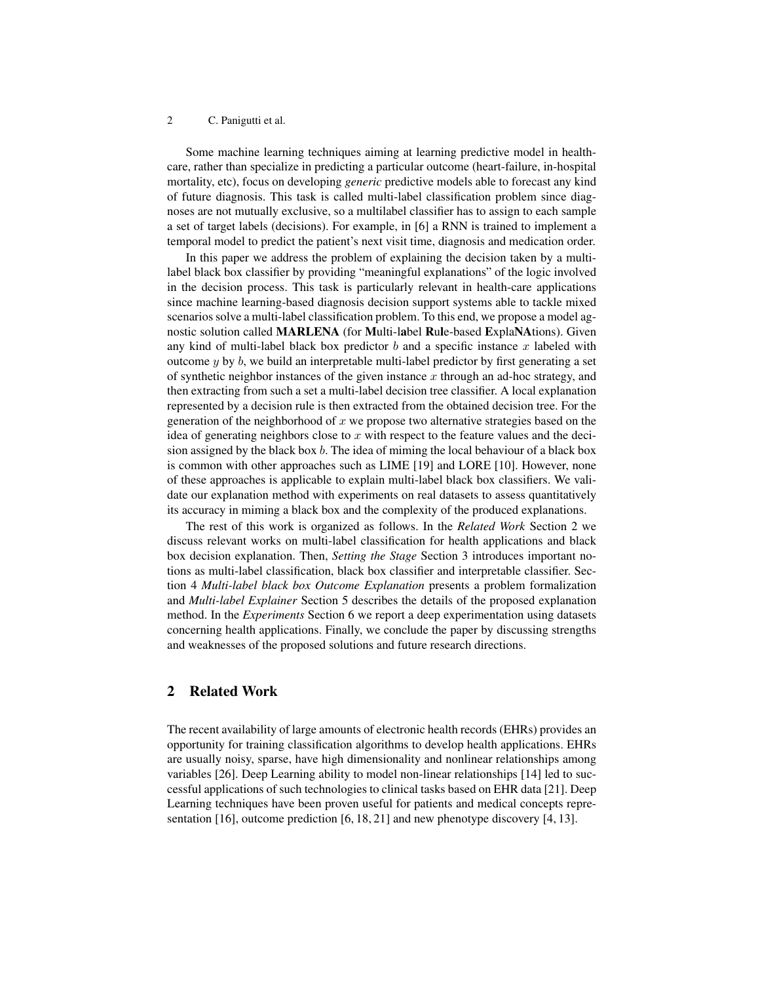#### 2 C. Panigutti et al.

Some machine learning techniques aiming at learning predictive model in healthcare, rather than specialize in predicting a particular outcome (heart-failure, in-hospital mortality, etc), focus on developing *generic* predictive models able to forecast any kind of future diagnosis. This task is called multi-label classification problem since diagnoses are not mutually exclusive, so a multilabel classifier has to assign to each sample a set of target labels (decisions). For example, in [6] a RNN is trained to implement a temporal model to predict the patient's next visit time, diagnosis and medication order.

In this paper we address the problem of explaining the decision taken by a multilabel black box classifier by providing "meaningful explanations" of the logic involved in the decision process. This task is particularly relevant in health-care applications since machine learning-based diagnosis decision support systems able to tackle mixed scenarios solve a multi-label classification problem. To this end, we propose a model agnostic solution called MARLENA (for Multi-label Rule-based ExplaNAtions). Given any kind of multi-label black box predictor  $b$  and a specific instance  $x$  labeled with outcome  $y$  by  $b$ , we build an interpretable multi-label predictor by first generating a set of synthetic neighbor instances of the given instance  $x$  through an ad-hoc strategy, and then extracting from such a set a multi-label decision tree classifier. A local explanation represented by a decision rule is then extracted from the obtained decision tree. For the generation of the neighborhood of  $x$  we propose two alternative strategies based on the idea of generating neighbors close to  $x$  with respect to the feature values and the decision assigned by the black box  $b$ . The idea of miming the local behaviour of a black box is common with other approaches such as LIME [19] and LORE [10]. However, none of these approaches is applicable to explain multi-label black box classifiers. We validate our explanation method with experiments on real datasets to assess quantitatively its accuracy in miming a black box and the complexity of the produced explanations.

The rest of this work is organized as follows. In the *Related Work* Section 2 we discuss relevant works on multi-label classification for health applications and black box decision explanation. Then, *Setting the Stage* Section 3 introduces important notions as multi-label classification, black box classifier and interpretable classifier. Section 4 *Multi-label black box Outcome Explanation* presents a problem formalization and *Multi-label Explainer* Section 5 describes the details of the proposed explanation method. In the *Experiments* Section 6 we report a deep experimentation using datasets concerning health applications. Finally, we conclude the paper by discussing strengths and weaknesses of the proposed solutions and future research directions.

### 2 Related Work

The recent availability of large amounts of electronic health records (EHRs) provides an opportunity for training classification algorithms to develop health applications. EHRs are usually noisy, sparse, have high dimensionality and nonlinear relationships among variables [26]. Deep Learning ability to model non-linear relationships [14] led to successful applications of such technologies to clinical tasks based on EHR data [21]. Deep Learning techniques have been proven useful for patients and medical concepts representation [16], outcome prediction [6, 18, 21] and new phenotype discovery [4, 13].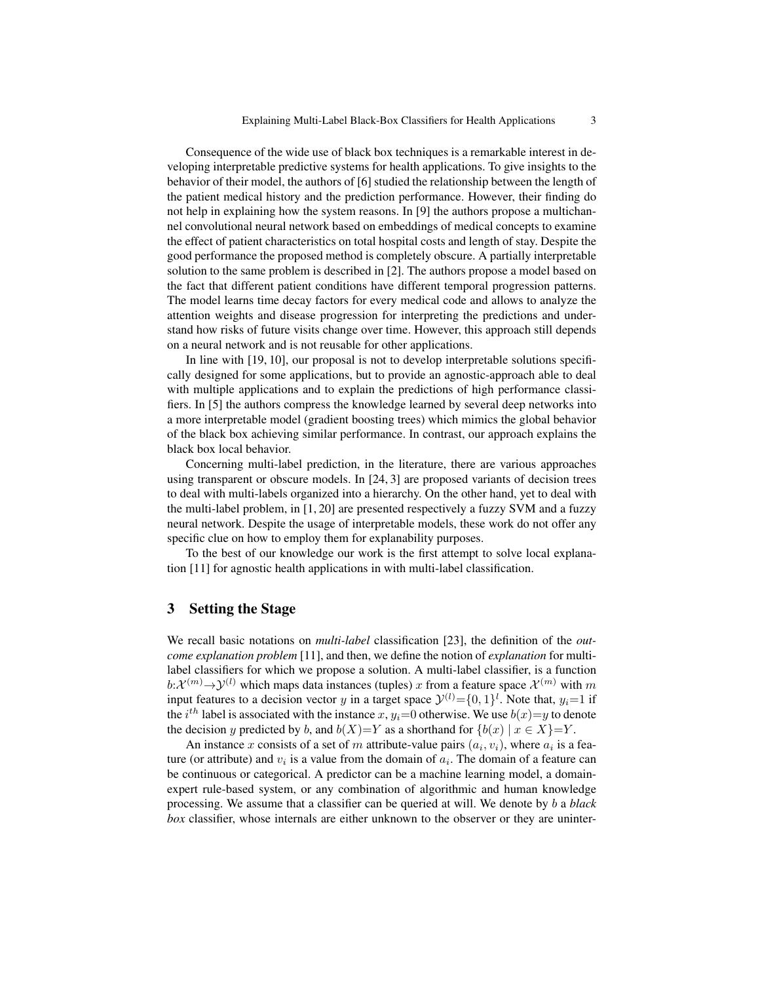Consequence of the wide use of black box techniques is a remarkable interest in developing interpretable predictive systems for health applications. To give insights to the behavior of their model, the authors of [6] studied the relationship between the length of the patient medical history and the prediction performance. However, their finding do not help in explaining how the system reasons. In [9] the authors propose a multichannel convolutional neural network based on embeddings of medical concepts to examine the effect of patient characteristics on total hospital costs and length of stay. Despite the good performance the proposed method is completely obscure. A partially interpretable solution to the same problem is described in [2]. The authors propose a model based on the fact that different patient conditions have different temporal progression patterns. The model learns time decay factors for every medical code and allows to analyze the attention weights and disease progression for interpreting the predictions and understand how risks of future visits change over time. However, this approach still depends on a neural network and is not reusable for other applications.

In line with [19, 10], our proposal is not to develop interpretable solutions specifically designed for some applications, but to provide an agnostic-approach able to deal with multiple applications and to explain the predictions of high performance classifiers. In [5] the authors compress the knowledge learned by several deep networks into a more interpretable model (gradient boosting trees) which mimics the global behavior of the black box achieving similar performance. In contrast, our approach explains the black box local behavior.

Concerning multi-label prediction, in the literature, there are various approaches using transparent or obscure models. In [24, 3] are proposed variants of decision trees to deal with multi-labels organized into a hierarchy. On the other hand, yet to deal with the multi-label problem, in [1, 20] are presented respectively a fuzzy SVM and a fuzzy neural network. Despite the usage of interpretable models, these work do not offer any specific clue on how to employ them for explanability purposes.

To the best of our knowledge our work is the first attempt to solve local explanation [11] for agnostic health applications in with multi-label classification.

## 3 Setting the Stage

We recall basic notations on *multi-label* classification [23], the definition of the *outcome explanation problem* [11], and then, we define the notion of *explanation* for multilabel classifiers for which we propose a solution. A multi-label classifier, is a function  $b:\mathcal{X}^{(m)}\to\mathcal{Y}^{(l)}$  which maps data instances (tuples) x from a feature space  $\mathcal{X}^{(m)}$  with m input features to a decision vector y in a target space  $\mathcal{Y}^{(l)} = \{0, 1\}^l$ . Note that,  $y_i = 1$  if the  $i^{th}$  label is associated with the instance  $x, y_i=0$  otherwise. We use  $b(x)=y$  to denote the decision y predicted by b, and  $b(X)=Y$  as a shorthand for  $\{b(x) | x \in X\} = Y$ .

An instance x consists of a set of m attribute-value pairs  $(a_i, v_i)$ , where  $a_i$  is a feature (or attribute) and  $v_i$  is a value from the domain of  $a_i$ . The domain of a feature can be continuous or categorical. A predictor can be a machine learning model, a domainexpert rule-based system, or any combination of algorithmic and human knowledge processing. We assume that a classifier can be queried at will. We denote by b a *black box* classifier, whose internals are either unknown to the observer or they are uninter-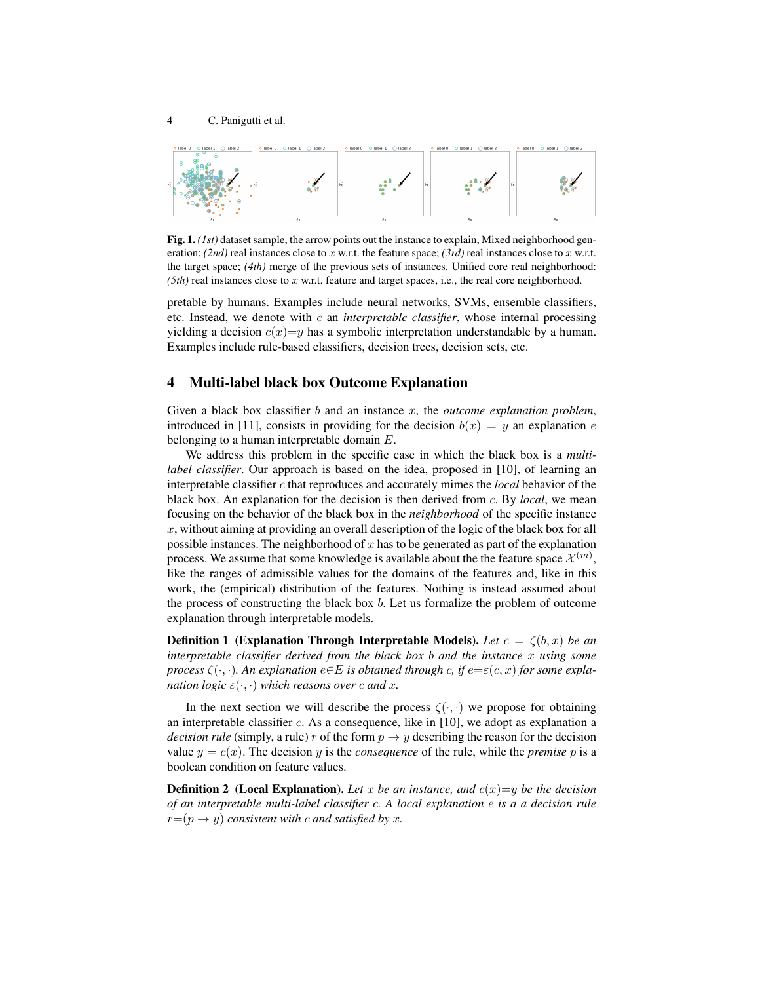

Fig. 1. *(1st)* dataset sample, the arrow points out the instance to explain, Mixed neighborhood generation: *(2nd)* real instances close to x w.r.t. the feature space; *(3rd)* real instances close to x w.r.t. the target space; *(4th)* merge of the previous sets of instances. Unified core real neighborhood:  $(5th)$  real instances close to x w.r.t. feature and target spaces, i.e., the real core neighborhood.

pretable by humans. Examples include neural networks, SVMs, ensemble classifiers, etc. Instead, we denote with c an *interpretable classifier*, whose internal processing yielding a decision  $c(x)=y$  has a symbolic interpretation understandable by a human. Examples include rule-based classifiers, decision trees, decision sets, etc.

### 4 Multi-label black box Outcome Explanation

Given a black box classifier *b* and an instance *x*, the *outcome explanation problem*, introduced in [11], consists in providing for the decision  $b(x) = y$  an explanation e belonging to a human interpretable domain E.

We address this problem in the specific case in which the black box is a *multilabel classifier*. Our approach is based on the idea, proposed in [10], of learning an interpretable classifier c that reproduces and accurately mimes the *local* behavior of the black box. An explanation for the decision is then derived from c. By *local*, we mean focusing on the behavior of the black box in the *neighborhood* of the specific instance x, without aiming at providing an overall description of the logic of the black box for all possible instances. The neighborhood of x has to be generated as part of the explanation process. We assume that some knowledge is available about the the feature space  $\mathcal{X}^{(m)}$ , like the ranges of admissible values for the domains of the features and, like in this work, the (empirical) distribution of the features. Nothing is instead assumed about the process of constructing the black box  $b$ . Let us formalize the problem of outcome explanation through interpretable models.

**Definition 1** (Explanation Through Interpretable Models). Let  $c = \zeta(b, x)$  be an *interpretable classifier derived from the black box* b *and the instance* x *using some process*  $\zeta(\cdot, \cdot)$ *. An explanation*  $e \in E$  *is obtained through* c*, if*  $e = \varepsilon(c, x)$  *for some explanation logic*  $\varepsilon(\cdot, \cdot)$  *which reasons over c and x*.

In the next section we will describe the process  $\zeta(\cdot, \cdot)$  we propose for obtaining an interpretable classifier  $c$ . As a consequence, like in [10], we adopt as explanation a *decision rule* (simply, a rule) r of the form  $p \rightarrow y$  describing the reason for the decision value  $y = c(x)$ . The decision y is the *consequence* of the rule, while the *premise* p is a boolean condition on feature values.

**Definition 2** (Local Explanation). Let x be an instance, and  $c(x)=y$  be the decision *of an interpretable multi-label classifier* c*. A local explanation* e *is a a decision rule*  $r=(p \rightarrow y)$  *consistent with c and satisfied by x.*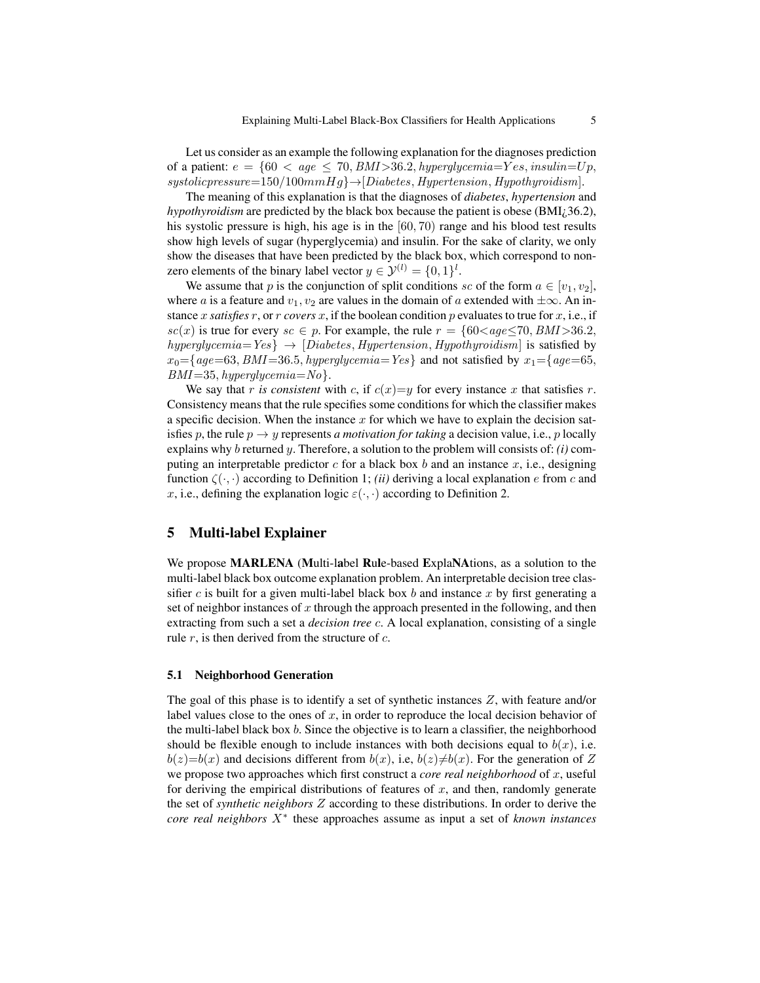Let us consider as an example the following explanation for the diagnoses prediction of a patient:  $e = \{60 \le age \le 70, BMI > 36.2, hyperglycemia = Yes, insulin = Up,$  $systolic pressure=150/100mmHg\} \rightarrow [Diabetes, Hypertension, Hypothyroidism].$ 

The meaning of this explanation is that the diagnoses of *diabetes*, *hypertension* and *hypothyroidism* are predicted by the black box because the patient is obese (BMI¿36.2), his systolic pressure is high, his age is in the [60, 70) range and his blood test results show high levels of sugar (hyperglycemia) and insulin. For the sake of clarity, we only show the diseases that have been predicted by the black box, which correspond to nonzero elements of the binary label vector  $y \in \mathcal{Y}^{(l)} = \{0, 1\}^l$ .

We assume that p is the conjunction of split conditions sc of the form  $a \in [v_1, v_2]$ , where a is a feature and  $v_1, v_2$  are values in the domain of a extended with  $\pm \infty$ . An instance x *satisfies* r, or r *covers* x, if the boolean condition p evaluates to true for x, i.e., if  $sc(x)$  is true for every  $sc \in p$ . For example, the rule  $r = \{60 \lt age \lt 70, BMI \gt 36.2,$ hyperglycemia=Yes}  $\rightarrow$  [Diabetes, Hypertension, Hypothyroidism] is satisfied by  $x_0 = \{age = 63, BMI = 36.5, hyperglycemia = Yes\}$  and not satisfied by  $x_1 = \{age = 65,$  $BMI = 35, hyperglycemia = No$ .

We say that r *is consistent* with c, if  $c(x)=y$  for every instance x that satisfies r. Consistency means that the rule specifies some conditions for which the classifier makes a specific decision. When the instance  $x$  for which we have to explain the decision satisfies p, the rule  $p \rightarrow y$  represents *a motivation for taking* a decision value, i.e., p locally explains why b returned y. Therefore, a solution to the problem will consists of: *(i)* computing an interpretable predictor  $c$  for a black box  $b$  and an instance  $x$ , i.e., designing function  $\zeta(\cdot, \cdot)$  according to Definition 1; *(ii)* deriving a local explanation e from c and x, i.e., defining the explanation logic  $\varepsilon(\cdot, \cdot)$  according to Definition 2.

### 5 Multi-label Explainer

We propose MARLENA (Multi-label Rule-based ExplaNAtions, as a solution to the multi-label black box outcome explanation problem. An interpretable decision tree classifier c is built for a given multi-label black box  $b$  and instance  $x$  by first generating a set of neighbor instances of x through the approach presented in the following, and then extracting from such a set a *decision tree* c. A local explanation, consisting of a single rule  $r$ , is then derived from the structure of  $c$ .

### 5.1 Neighborhood Generation

The goal of this phase is to identify a set of synthetic instances  $Z$ , with feature and/or label values close to the ones of  $x$ , in order to reproduce the local decision behavior of the multi-label black box b. Since the objective is to learn a classifier, the neighborhood should be flexible enough to include instances with both decisions equal to  $b(x)$ , i.e.  $b(z)=b(x)$  and decisions different from  $b(x)$ , i.e,  $b(z)\neq b(x)$ . For the generation of Z we propose two approaches which first construct a *core real neighborhood* of  $x$ , useful for deriving the empirical distributions of features of  $x$ , and then, randomly generate the set of *synthetic neighbors* Z according to these distributions. In order to derive the *core real neighbors* X<sup>∗</sup> these approaches assume as input a set of *known instances*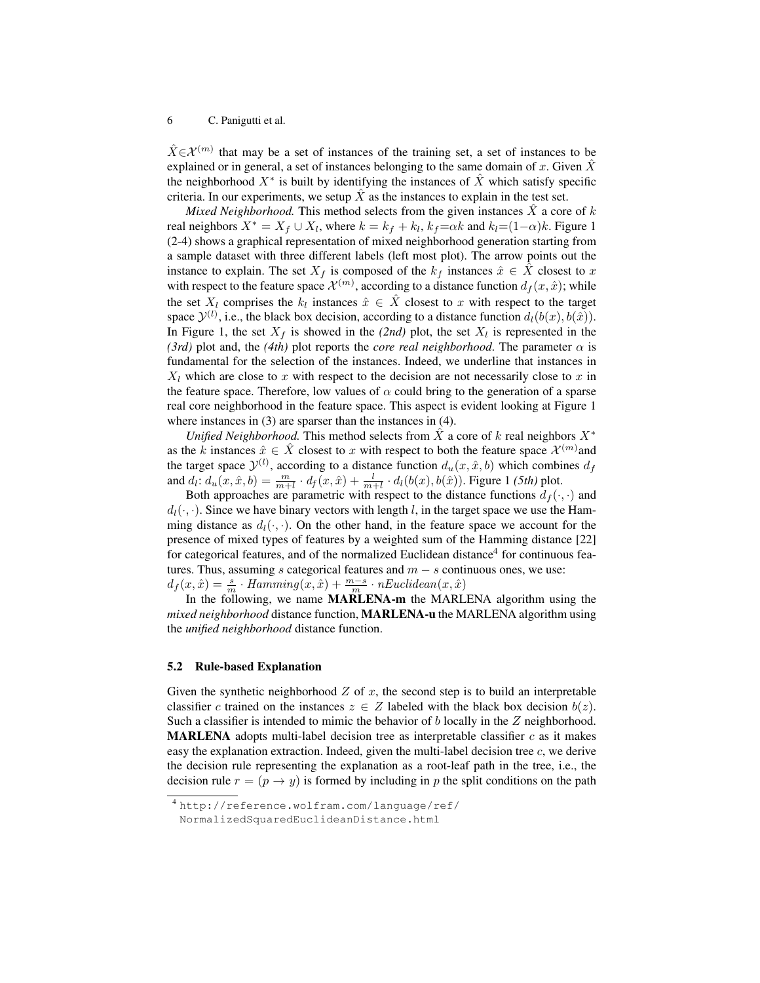#### 6 C. Panigutti et al.

 $\hat{X} \in \mathcal{X}^{(m)}$  that may be a set of instances of the training set, a set of instances to be explained or in general, a set of instances belonging to the same domain of x. Given  $\overline{X}$ the neighborhood  $X^*$  is built by identifying the instances of  $\hat{X}$  which satisfy specific criteria. In our experiments, we setup  $X$  as the instances to explain in the test set.

*Mixed Neighborhood.* This method selects from the given instances  $X$  a core of  $k$ real neighbors  $X^* = X_f \cup X_l$ , where  $k = k_f + k_l$ ,  $k_f = \alpha k$  and  $k_l = (1 - \alpha)k$ . Figure 1 (2-4) shows a graphical representation of mixed neighborhood generation starting from a sample dataset with three different labels (left most plot). The arrow points out the instance to explain. The set  $X_f$  is composed of the  $k_f$  instances  $\hat{x} \in \hat{X}$  closest to x with respect to the feature space  $\mathcal{X}^{(m)}$ , according to a distance function  $d_f(x, \hat{x})$ ; while the set  $X_l$  comprises the  $k_l$  instances  $\hat{x} \in \hat{X}$  closest to x with respect to the target space  $\mathcal{Y}^{(l)}$ , i.e., the black box decision, according to a distance function  $d_l(b(x), b(\hat{x}))$ . In Figure 1, the set  $X_f$  is showed in the *(2nd)* plot, the set  $X_l$  is represented in the *(3rd)* plot and, the *(4th)* plot reports the *core real neighborhood*. The parameter  $\alpha$  is fundamental for the selection of the instances. Indeed, we underline that instances in  $X_l$  which are close to x with respect to the decision are not necessarily close to x in the feature space. Therefore, low values of  $\alpha$  could bring to the generation of a sparse real core neighborhood in the feature space. This aspect is evident looking at Figure 1 where instances in (3) are sparser than the instances in (4).

*Unified Neighborhood.* This method selects from  $\overline{X}$  a core of k real neighbors  $X^*$ as the k instances  $\hat{x} \in \hat{X}$  closest to x with respect to both the feature space  $\mathcal{X}^{(m)}$  and the target space  $\mathcal{Y}^{(l)}$ , according to a distance function  $d_u(x, \hat{x}, b)$  which combines  $d_f$ and  $d_l: d_u(x, \hat{x}, b) = \frac{m}{m+l} \cdot d_f(x, \hat{x}) + \frac{l}{m+l} \cdot d_l(b(x), b(\hat{x}))$ . Figure 1 *(5th)* plot.

Both approaches are parametric with respect to the distance functions  $d_f(\cdot, \cdot)$  and  $d_l(\cdot, \cdot)$ . Since we have binary vectors with length l, in the target space we use the Hamming distance as  $d_l(\cdot, \cdot)$ . On the other hand, in the feature space we account for the presence of mixed types of features by a weighted sum of the Hamming distance [22] for categorical features, and of the normalized Euclidean distance<sup>4</sup> for continuous features. Thus, assuming s categorical features and  $m - s$  continuous ones, we use:  $d_f(x, \hat{x}) = \frac{s}{m} \cdot Hamming(x, \hat{x}) + \frac{m-s}{m} \cdot nEuclidean(x, \hat{x})$ 

In the following, we name MARLENA-m the MARLENA algorithm using the *mixed neighborhood* distance function, MARLENA-u the MARLENA algorithm using the *unified neighborhood* distance function.

#### 5.2 Rule-based Explanation

Given the synthetic neighborhood  $Z$  of x, the second step is to build an interpretable classifier c trained on the instances  $z \in Z$  labeled with the black box decision  $b(z)$ . Such a classifier is intended to mimic the behavior of b locally in the  $Z$  neighborhood. **MARLENA** adopts multi-label decision tree as interpretable classifier  $c$  as it makes easy the explanation extraction. Indeed, given the multi-label decision tree  $c$ , we derive the decision rule representing the explanation as a root-leaf path in the tree, i.e., the decision rule  $r = (p \rightarrow y)$  is formed by including in p the split conditions on the path

<sup>4</sup> http://reference.wolfram.com/language/ref/

NormalizedSquaredEuclideanDistance.html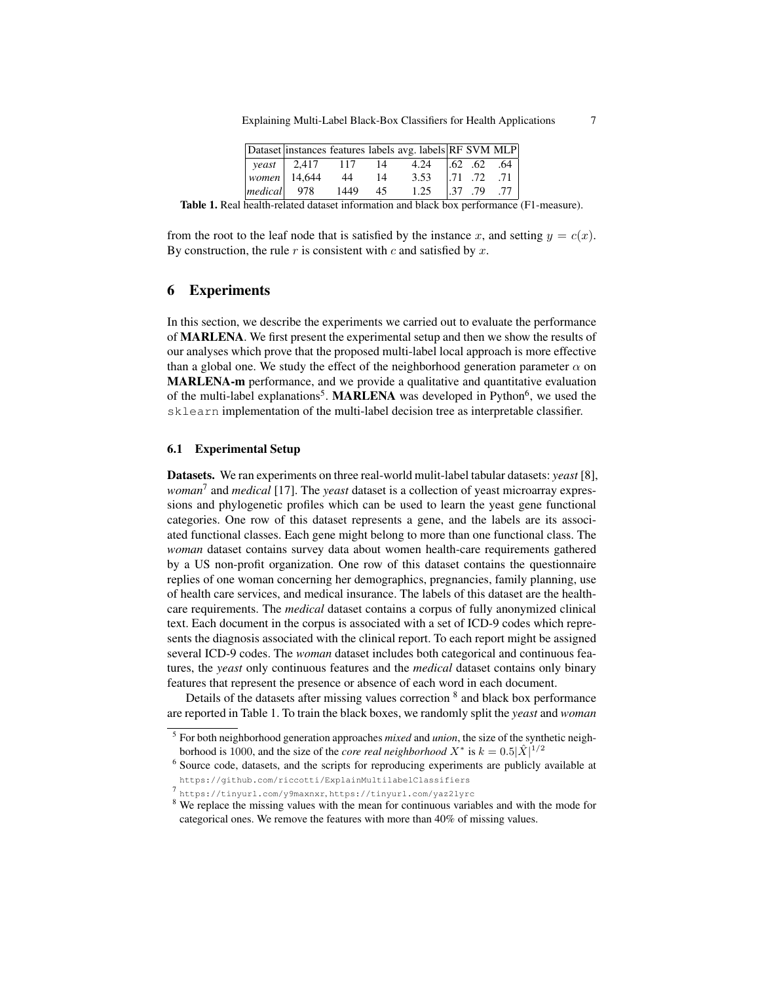|                        |      |    | Dataset instances features labels avg. labels <b>RF SVM MLP</b> |      |            |     |
|------------------------|------|----|-----------------------------------------------------------------|------|------------|-----|
| $\text{least}$   2,417 | 117  | 14 | 4.24                                                            |      | $.62$ .62  | .64 |
| women   $14,644$       | 44   | 14 | 3.53                                                            |      | $1.71$ .72 | .71 |
| $ medical $ 978        | 1449 | 45 | 1.25                                                            | 1.37 | - 79       | .77 |
|                        | .    |    |                                                                 |      |            |     |

Table 1. Real health-related dataset information and black box performance (F1-measure).

from the root to the leaf node that is satisfied by the instance x, and setting  $y = c(x)$ . By construction, the rule  $r$  is consistent with  $c$  and satisfied by  $x$ .

### 6 Experiments

In this section, we describe the experiments we carried out to evaluate the performance of MARLENA. We first present the experimental setup and then we show the results of our analyses which prove that the proposed multi-label local approach is more effective than a global one. We study the effect of the neighborhood generation parameter  $\alpha$  on MARLENA-m performance, and we provide a qualitative and quantitative evaluation of the multi-label explanations<sup>5</sup>. MARLENA was developed in Python<sup>6</sup>, we used the sklearn implementation of the multi-label decision tree as interpretable classifier.

### 6.1 Experimental Setup

Datasets. We ran experiments on three real-world mulit-label tabular datasets: *yeast* [8], *woman*<sup>7</sup> and *medical* [17]. The *yeast* dataset is a collection of yeast microarray expressions and phylogenetic profiles which can be used to learn the yeast gene functional categories. One row of this dataset represents a gene, and the labels are its associated functional classes. Each gene might belong to more than one functional class. The *woman* dataset contains survey data about women health-care requirements gathered by a US non-profit organization. One row of this dataset contains the questionnaire replies of one woman concerning her demographics, pregnancies, family planning, use of health care services, and medical insurance. The labels of this dataset are the healthcare requirements. The *medical* dataset contains a corpus of fully anonymized clinical text. Each document in the corpus is associated with a set of ICD-9 codes which represents the diagnosis associated with the clinical report. To each report might be assigned several ICD-9 codes. The *woman* dataset includes both categorical and continuous features, the *yeast* only continuous features and the *medical* dataset contains only binary features that represent the presence or absence of each word in each document.

Details of the datasets after missing values correction <sup>8</sup> and black box performance are reported in Table 1. To train the black boxes, we randomly split the *yeast* and *woman*

<sup>5</sup> For both neighborhood generation approaches *mixed* and *union*, the size of the synthetic neighborhood is 1000, and the size of the *core real neighborhood*  $X^*$  is  $k = 0.5|\hat{X}|^{1/2}$ 

<sup>&</sup>lt;sup>6</sup> Source code, datasets, and the scripts for reproducing experiments are publicly available at https://github.com/riccotti/ExplainMultilabelClassifiers

<sup>7</sup> https://tinyurl.com/y9maxnxr, https://tinyurl.com/yaz2lyrc

<sup>&</sup>lt;sup>8</sup> We replace the missing values with the mean for continuous variables and with the mode for categorical ones. We remove the features with more than 40% of missing values.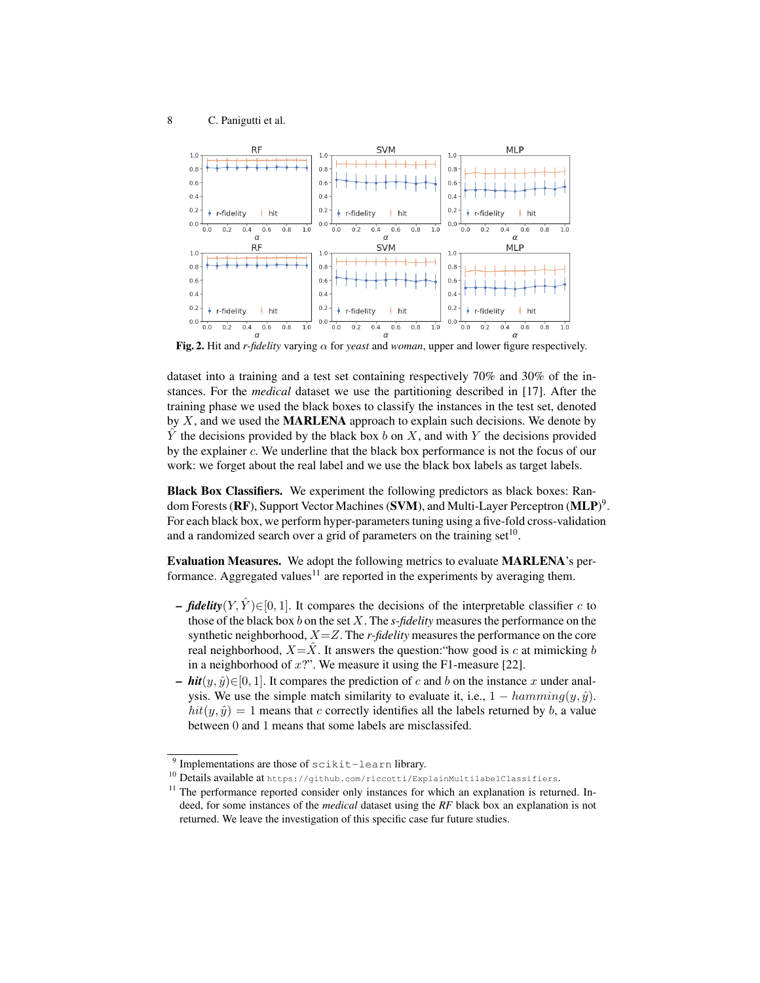

Fig. 2. Hit and *r-fidelity* varying  $\alpha$  for *yeast* and *woman*, upper and lower figure respectively.

dataset into a training and a test set containing respectively 70% and 30% of the instances. For the *medical* dataset we use the partitioning described in [17]. After the training phase we used the black boxes to classify the instances in the test set, denoted by  $X$ , and we used the **MARLENA** approach to explain such decisions. We denote by  $\hat{Y}$  the decisions provided by the black box b on X, and with Y the decisions provided by the explainer  $c$ . We underline that the black box performance is not the focus of our work: we forget about the real label and we use the black box labels as target labels.

Black Box Classifiers. We experiment the following predictors as black boxes: Random Forests (RF), Support Vector Machines (SVM), and Multi-Layer Perceptron (MLP) $^9$ . For each black box, we perform hyper-parameters tuning using a five-fold cross-validation and a randomized search over a grid of parameters on the training set $^{10}$ .

Evaluation Measures. We adopt the following metrics to evaluate MARLENA's performance. Aggregated values<sup>11</sup> are reported in the experiments by averaging them.

- $\blacktriangle$  *fidelity*(*Y*,  $\hat{Y}$ )∈[0, 1]. It compares the decisions of the interpretable classifier c to those of the black box b on the set X. The *s-fidelity* measures the performance on the synthetic neighborhood, X=Z. The *r-fidelity* measures the performance on the core real neighborhood,  $X=\dot{X}$ . It answers the question: "how good is c at mimicking b in a neighborhood of  $x$ ?". We measure it using the F1-measure [22].
- **hit** $(y, \hat{y}) \in [0, 1]$ . It compares the prediction of c and b on the instance x under analysis. We use the simple match similarity to evaluate it, i.e.,  $1 - \text{hamming}(y, \hat{y})$ .  $hit(y, \hat{y}) = 1$  means that c correctly identifies all the labels returned by b, a value between 0 and 1 means that some labels are misclassifed.

<sup>&</sup>lt;sup>9</sup> Implementations are those of scikit-learn library.

 $^{10}$  Details available at  $\text{https://github.com/riccotti/ExplainMultilabelClassifiers}.$ 

<sup>&</sup>lt;sup>11</sup> The performance reported consider only instances for which an explanation is returned. Indeed, for some instances of the *medical* dataset using the *RF* black box an explanation is not returned. We leave the investigation of this specific case fur future studies.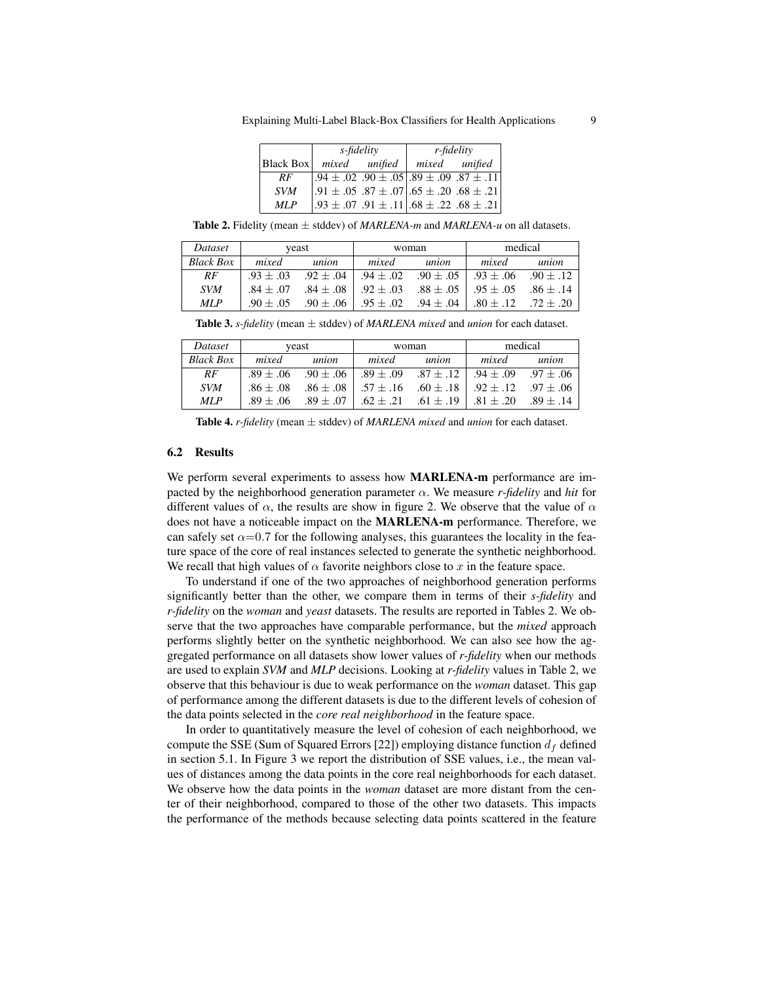|            |       | s-fidelity | r-fidelity |                                                         |  |
|------------|-------|------------|------------|---------------------------------------------------------|--|
| Black Box  | mixed | unified    | mixed      | unified                                                 |  |
| RF         |       |            |            | $.94 \pm .02$ $.90 \pm .05$ $.89 \pm .09$ $.87 \pm .11$ |  |
| <b>SVM</b> |       |            |            | $.91 \pm .05$ $.87 \pm .07$ $.65 \pm .20$ $.68 \pm .21$ |  |
| MI.P       |       |            |            | $.93 \pm .07$ $.91 \pm .11$ $.68 \pm .22$ $.68 \pm .21$ |  |

**Table 2.** Fidelity (mean  $\pm$  stddev) of *MARLENA-m* and *MARLENA-u* on all datasets.

| Dataset          | veast       |               | woman         |               | medical       |               |
|------------------|-------------|---------------|---------------|---------------|---------------|---------------|
| <b>Black Box</b> | mixed       | union         | mixed         | union         | mixed         | union         |
| RF               | $.93 + .03$ | $.92 \pm .04$ | $.94 \pm .02$ | $.90 \pm .05$ | $.93 \pm .06$ | $.90 + .12$   |
| <b>SVM</b>       | $.84 + .07$ | $.84 \pm .08$ | $.92 \pm .03$ | $.88\pm.05$   | $.95 \pm .05$ | $.86 \pm .14$ |
| MLP              | $.90 + .05$ | $.90 \pm .06$ | $.95 \pm .02$ | $.94 \pm .04$ | $.80 \pm .12$ | $.72 \pm .20$ |

**Table 3.** *s*-fidelity (mean  $\pm$  stddev) of *MARLENA mixed* and *union* for each dataset.

| Dataset          | yeast       |               | woman |                                            | medical       |             |
|------------------|-------------|---------------|-------|--------------------------------------------|---------------|-------------|
| <b>Black Box</b> | mixed       | union         | mixed | union                                      | mixed         | union       |
| RF               | $.89 + .06$ | $.90 \pm .06$ |       | $.89 \pm .09$ $.87 \pm .12$ $.94 \pm .09$  |               | $.97 + .06$ |
| <b>SVM</b>       | $.86 + .08$ | $.86 \pm .08$ |       | $1.57 \pm .16$ $.60 \pm .18$ $.92 \pm .12$ |               | $.97 + .06$ |
| MLP              | $.89 + .06$ | $.89 + .07$   |       | $.62 \pm .21$ $.61 \pm .19$                | $.81 \pm .20$ | $.89 + .14$ |

Table 4. *r*-fidelity (mean  $\pm$  stddev) of *MARLENA mixed* and *union* for each dataset.

#### 6.2 Results

We perform several experiments to assess how **MARLENA-m** performance are impacted by the neighborhood generation parameter  $\alpha$ . We measure *r-fidelity* and *hit* for different values of  $\alpha$ , the results are show in figure 2. We observe that the value of  $\alpha$ does not have a noticeable impact on the MARLENA-m performance. Therefore, we can safely set  $\alpha$ =0.7 for the following analyses, this guarantees the locality in the feature space of the core of real instances selected to generate the synthetic neighborhood. We recall that high values of  $\alpha$  favorite neighbors close to x in the feature space.

To understand if one of the two approaches of neighborhood generation performs significantly better than the other, we compare them in terms of their *s-fidelity* and *r-fidelity* on the *woman* and *yeast* datasets. The results are reported in Tables 2. We observe that the two approaches have comparable performance, but the *mixed* approach performs slightly better on the synthetic neighborhood. We can also see how the aggregated performance on all datasets show lower values of *r-fidelity* when our methods are used to explain *SVM* and *MLP* decisions. Looking at *r-fidelity* values in Table 2, we observe that this behaviour is due to weak performance on the *woman* dataset. This gap of performance among the different datasets is due to the different levels of cohesion of the data points selected in the *core real neighborhood* in the feature space.

In order to quantitatively measure the level of cohesion of each neighborhood, we compute the SSE (Sum of Squared Errors [22]) employing distance function  $d_f$  defined in section 5.1. In Figure 3 we report the distribution of SSE values, i.e., the mean values of distances among the data points in the core real neighborhoods for each dataset. We observe how the data points in the *woman* dataset are more distant from the center of their neighborhood, compared to those of the other two datasets. This impacts the performance of the methods because selecting data points scattered in the feature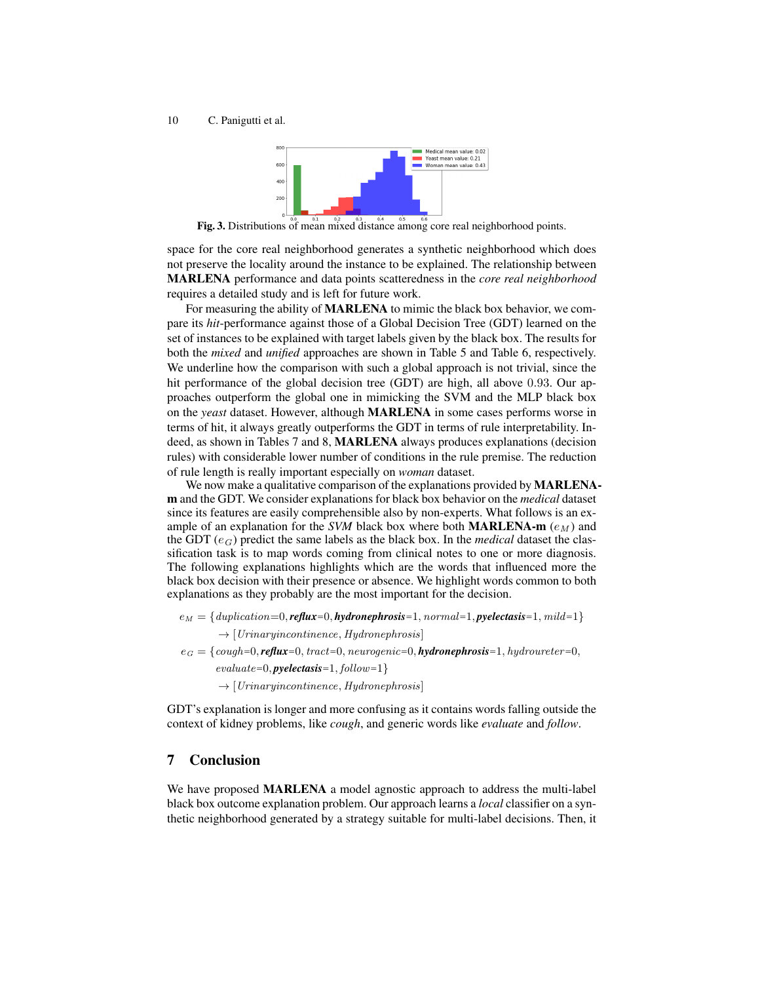

Fig. 3. Distributions of mean mixed distance among core real neighborhood points.

space for the core real neighborhood generates a synthetic neighborhood which does not preserve the locality around the instance to be explained. The relationship between MARLENA performance and data points scatteredness in the *core real neighborhood* requires a detailed study and is left for future work.

For measuring the ability of MARLENA to mimic the black box behavior, we compare its *hit*-performance against those of a Global Decision Tree (GDT) learned on the set of instances to be explained with target labels given by the black box. The results for both the *mixed* and *unified* approaches are shown in Table 5 and Table 6, respectively. We underline how the comparison with such a global approach is not trivial, since the hit performance of the global decision tree (GDT) are high, all above 0.93. Our approaches outperform the global one in mimicking the SVM and the MLP black box on the *yeast* dataset. However, although MARLENA in some cases performs worse in terms of hit, it always greatly outperforms the GDT in terms of rule interpretability. Indeed, as shown in Tables 7 and 8, MARLENA always produces explanations (decision rules) with considerable lower number of conditions in the rule premise. The reduction of rule length is really important especially on *woman* dataset.

We now make a qualitative comparison of the explanations provided by **MARLENA**m and the GDT. We consider explanations for black box behavior on the *medical* dataset since its features are easily comprehensible also by non-experts. What follows is an example of an explanation for the *SVM* black box where both **MARLENA-m** ( $e_M$ ) and the GDT  $(e_G)$  predict the same labels as the black box. In the *medical* dataset the classification task is to map words coming from clinical notes to one or more diagnosis. The following explanations highlights which are the words that influenced more the black box decision with their presence or absence. We highlight words common to both explanations as they probably are the most important for the decision.

- $e_M = \{duplication=0, \text{reflux}=0, \text{hydronephrosis}=1, \text{normal}=1, \text{pyelectasis}=1, \text{mild}=1\}$  $\rightarrow$  [*Urinaryincontinence*, *Hydronephrosis*]
- $e_G = \{coupling, **reflux**=0, **tract**=0, **neurogenic**=0, **hydronephrosis**=1, **hydroureter**=0,$ evaluate=0, *pyelectasis*=1, follow=1}  $\rightarrow$  [*Urinaryincontinence*, *Hydronephrosis*]

GDT's explanation is longer and more confusing as it contains words falling outside the context of kidney problems, like *cough*, and generic words like *evaluate* and *follow*.

## 7 Conclusion

We have proposed **MARLENA** a model agnostic approach to address the multi-label black box outcome explanation problem. Our approach learns a *local* classifier on a synthetic neighborhood generated by a strategy suitable for multi-label decisions. Then, it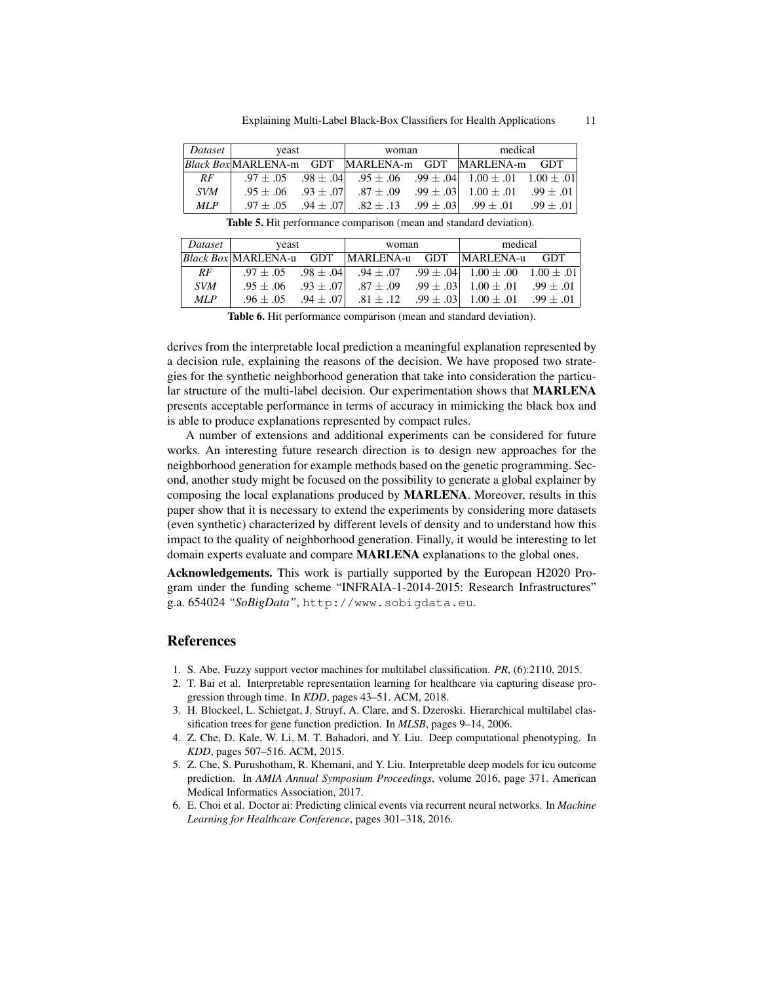| Dataset    | veast                                                      |             | woman                                                                                 |  | medical                                    |               |
|------------|------------------------------------------------------------|-------------|---------------------------------------------------------------------------------------|--|--------------------------------------------|---------------|
|            | <i>Black Box</i> MARLENA-m GDT MARLENA-m GDT MARLENA-m GDT |             |                                                                                       |  |                                            |               |
| RF         |                                                            |             | $.97 \pm .05$ $.98 \pm .04$ $.95 \pm .06$ $.99 \pm .04$ $1.00 \pm .01$ $1.00 \pm .01$ |  |                                            |               |
| <b>SVM</b> | $.95 \pm .06$ $.93 \pm .07$                                |             | $.87\pm.09$                                                                           |  | $.99 \pm .03$ $1.00 \pm .01$ $.99 \pm .01$ |               |
| MLP        | $.97 + .05$                                                | $.94 + .07$ | $.82 \pm .13$                                                                         |  | $.99 \pm .03$ $.99 \pm .01$                | $.99 \pm .01$ |

Table 5. Hit performance comparison (mean and standard deviation).

| Dataset    | veast                       |               | woman                                                  |  | medical                                                   |               |
|------------|-----------------------------|---------------|--------------------------------------------------------|--|-----------------------------------------------------------|---------------|
|            |                             |               | <i>Black Box</i> MARLENA-u GDT MARLENA-u GDT MARLENA-u |  |                                                           | <b>GDT</b>    |
| RF         | $.97 \pm .05$ $.98 \pm .04$ |               |                                                        |  | $.94 \pm .07$ $.99 \pm .04$ $1.00 \pm .00$ $1.00 \pm .01$ |               |
| <b>SVM</b> | $.95 + .06$                 | $.93 \pm .07$ | $.87 \pm .09$ $.99 \pm .03$ $1.00 \pm .01$             |  |                                                           | $.99 + .01$   |
| MLP        | $.96 + .05$                 | $.94 \pm .07$ | $.81 \pm .12$ $.99 \pm .03$                            |  | $1.00 \pm .01$                                            | $.99 \pm .01$ |

Table 6. Hit performance comparison (mean and standard deviation).

derives from the interpretable local prediction a meaningful explanation represented by a decision rule, explaining the reasons of the decision. We have proposed two strategies for the synthetic neighborhood generation that take into consideration the particular structure of the multi-label decision. Our experimentation shows that MARLENA presents acceptable performance in terms of accuracy in mimicking the black box and is able to produce explanations represented by compact rules.

A number of extensions and additional experiments can be considered for future works. An interesting future research direction is to design new approaches for the neighborhood generation for example methods based on the genetic programming. Second, another study might be focused on the possibility to generate a global explainer by composing the local explanations produced by MARLENA. Moreover, results in this paper show that it is necessary to extend the experiments by considering more datasets (even synthetic) characterized by different levels of density and to understand how this impact to the quality of neighborhood generation. Finally, it would be interesting to let domain experts evaluate and compare MARLENA explanations to the global ones.

Acknowledgements. This work is partially supported by the European H2020 Program under the funding scheme "INFRAIA-1-2014-2015: Research Infrastructures" g.a. 654024 *"SoBigData"*, http://www.sobigdata.eu.

### References

- 1. S. Abe. Fuzzy support vector machines for multilabel classification. *PR*, (6):2110, 2015.
- 2. T. Bai et al. Interpretable representation learning for healthcare via capturing disease progression through time. In *KDD*, pages 43–51. ACM, 2018.
- 3. H. Blockeel, L. Schietgat, J. Struyf, A. Clare, and S. Dzeroski. Hierarchical multilabel classification trees for gene function prediction. In *MLSB*, pages 9–14, 2006.
- 4. Z. Che, D. Kale, W. Li, M. T. Bahadori, and Y. Liu. Deep computational phenotyping. In *KDD*, pages 507–516. ACM, 2015.
- 5. Z. Che, S. Purushotham, R. Khemani, and Y. Liu. Interpretable deep models for icu outcome prediction. In *AMIA Annual Symposium Proceedings*, volume 2016, page 371. American Medical Informatics Association, 2017.
- 6. E. Choi et al. Doctor ai: Predicting clinical events via recurrent neural networks. In *Machine Learning for Healthcare Conference*, pages 301–318, 2016.